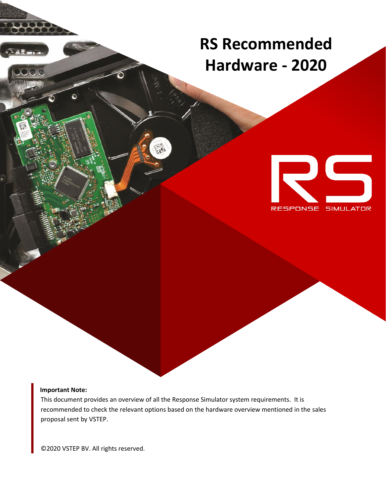## **RS Recommended Hardware - 2020**



## **Important Note:**

 $\bullet$ 

This document provides an overview of all the Response Simulator system requirements. It is recommended to check the relevant options based on the hardware overview mentioned in the sales proposal sent by VSTEP.

©2020 VSTEP BV. All rights reserved.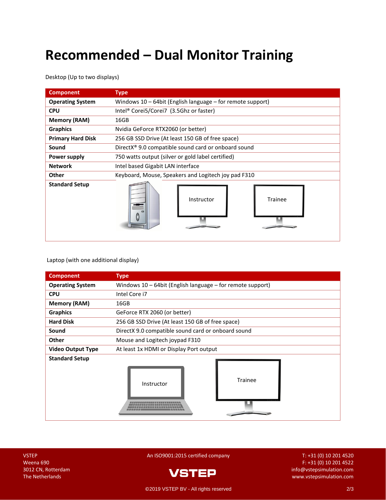## **Recommended – Dual Monitor Training**

Desktop (Up to two displays)

| <b>Component</b>         | <b>Type</b>                                                     |
|--------------------------|-----------------------------------------------------------------|
| <b>Operating System</b>  | Windows $10 - 64$ bit (English language – for remote support)   |
| <b>CPU</b>               | Intel <sup>®</sup> Corei5/Corei7 (3.5Ghz or faster)             |
| <b>Memory (RAM)</b>      | 16GB                                                            |
| <b>Graphics</b>          | Nvidia GeForce RTX2060 (or better)                              |
| <b>Primary Hard Disk</b> | 256 GB SSD Drive (At least 150 GB of free space)                |
| Sound                    | DirectX <sup>®</sup> 9.0 compatible sound card or onboard sound |
| Power supply             | 750 watts output (silver or gold label certified)               |
| <b>Network</b>           | Intel based Gigabit LAN interface                               |
| <b>Other</b>             | Keyboard, Mouse, Speakers and Logitech joy pad F310             |
| <b>Standard Setup</b>    | <b>Trainee</b><br>Instructor                                    |

Laptop (with one additional display)

| <b>Component</b>         | <b>Type</b>                                                |
|--------------------------|------------------------------------------------------------|
| <b>Operating System</b>  | Windows 10 - 64bit (English language - for remote support) |
| <b>CPU</b>               | Intel Core i7                                              |
| <b>Memory (RAM)</b>      | 16GB                                                       |
| <b>Graphics</b>          | GeForce RTX 2060 (or better)                               |
| <b>Hard Disk</b>         | 256 GB SSD Drive (At least 150 GB of free space)           |
| Sound                    | DirectX 9.0 compatible sound card or onboard sound         |
| Other                    | Mouse and Logitech joypad F310                             |
| <b>Video Output Type</b> | At least 1x HDMI or Display Port output                    |
| <b>Standard Setup</b>    | <b>Trainee</b><br>Instructor                               |

VSTEP An ISO9001:2015 certified company T: +31 (0) 10 201 4520



Weena 690 F: +31 (0) 10 201 4522 3012 CN, Rotterdam info@vstepsimulation.com<br>The Notherlands The Netherlands [www.vstepsimulation.com](http://www.vstepsimulation.com/)

©2019 VSTEP BV - All rights reserved 2/3